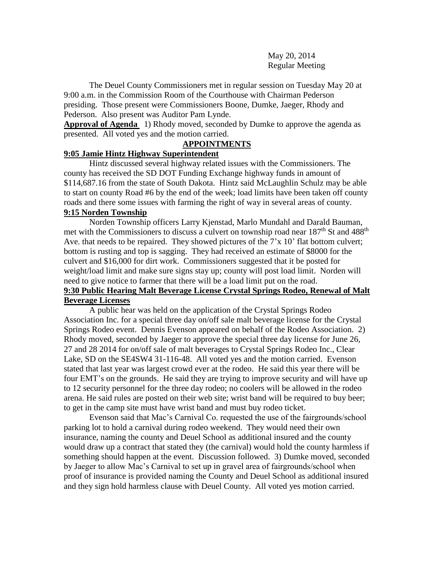May 20, 2014 Regular Meeting

The Deuel County Commissioners met in regular session on Tuesday May 20 at 9:00 a.m. in the Commission Room of the Courthouse with Chairman Pederson presiding. Those present were Commissioners Boone, Dumke, Jaeger, Rhody and Pederson. Also present was Auditor Pam Lynde.

**Approval of Agenda** 1) Rhody moved, seconded by Dumke to approve the agenda as presented. All voted yes and the motion carried.

#### **APPOINTMENTS**

## **9:05 Jamie Hintz Highway Superintendent**

Hintz discussed several highway related issues with the Commissioners. The county has received the SD DOT Funding Exchange highway funds in amount of \$114,687.16 from the state of South Dakota. Hintz said McLaughlin Schulz may be able to start on county Road #6 by the end of the week; load limits have been taken off county roads and there some issues with farming the right of way in several areas of county.

# **9:15 Norden Township**

Norden Township officers Larry Kjenstad, Marlo Mundahl and Darald Bauman, met with the Commissioners to discuss a culvert on township road near  $187<sup>th</sup>$  St and  $488<sup>th</sup>$ Ave. that needs to be repaired. They showed pictures of the 7'x 10' flat bottom culvert; bottom is rusting and top is sagging. They had received an estimate of \$8000 for the culvert and \$16,000 for dirt work. Commissioners suggested that it be posted for weight/load limit and make sure signs stay up; county will post load limit. Norden will need to give notice to farmer that there will be a load limit put on the road.

## **9:30 Public Hearing Malt Beverage License Crystal Springs Rodeo, Renewal of Malt Beverage Licenses**

A public hear was held on the application of the Crystal Springs Rodeo Association Inc. for a special three day on/off sale malt beverage license for the Crystal Springs Rodeo event. Dennis Evenson appeared on behalf of the Rodeo Association. 2) Rhody moved, seconded by Jaeger to approve the special three day license for June 26, 27 and 28 2014 for on/off sale of malt beverages to Crystal Springs Rodeo Inc., Clear Lake, SD on the SE4SW4 31-116-48. All voted yes and the motion carried. Evenson stated that last year was largest crowd ever at the rodeo. He said this year there will be four EMT's on the grounds. He said they are trying to improve security and will have up to 12 security personnel for the three day rodeo; no coolers will be allowed in the rodeo arena. He said rules are posted on their web site; wrist band will be required to buy beer; to get in the camp site must have wrist band and must buy rodeo ticket.

Evenson said that Mac's Carnival Co. requested the use of the fairgrounds/school parking lot to hold a carnival during rodeo weekend. They would need their own insurance, naming the county and Deuel School as additional insured and the county would draw up a contract that stated they (the carnival) would hold the county harmless if something should happen at the event. Discussion followed. 3) Dumke moved, seconded by Jaeger to allow Mac's Carnival to set up in gravel area of fairgrounds/school when proof of insurance is provided naming the County and Deuel School as additional insured and they sign hold harmless clause with Deuel County. All voted yes motion carried.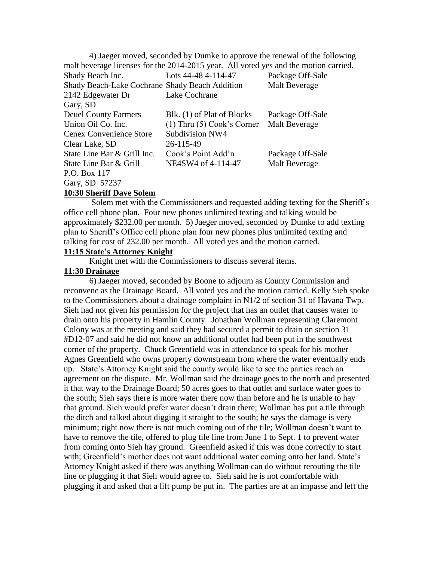4) Jaeger moved, seconded by Dumke to approve the renewal of the following malt beverage licenses for the 2014-2015 year. All voted yes and the motion carried. Shady Beach Inc. Lots 44-48 4-114-47 Package Off-Sale Shady Beach-Lake Cochrane Shady Beach Addition Malt Beverage 2142 Edgewater Dr Lake Cochrane Gary, SD Deuel County Farmers Blk. (1) of Plat of Blocks Package Off-Sale Union Oil Co. Inc. (1) Thru (5) Cook's Corner Malt Beverage Cenex Convenience Store Subdivision NW4 Clear Lake, SD 26-115-49 State Line Bar & Grill Inc. Cook's Point Add'n Package Off-Sale State Line Bar & Grill NE4SW4 of 4-114-47 Malt Beverage P.O. Box 117 Gary, SD 57237

#### **10:30 Sheriff Dave Solem**

Solem met with the Commissioners and requested adding texting for the Sheriff's office cell phone plan. Four new phones unlimited texting and talking would be approximately \$232.00 per month. 5) Jaeger moved, seconded by Dumke to add texting plan to Sheriff's Office cell phone plan four new phones plus unlimited texting and talking for cost of 232.00 per month. All voted yes and the motion carried.

#### **11:15 State's Attorney Knight**

Knight met with the Commissioners to discuss several items.

#### **11:30 Drainage**

6) Jaeger moved, seconded by Boone to adjourn as County Commission and reconvene as the Drainage Board. All voted yes and the motion carried. Kelly Sieh spoke to the Commissioners about a drainage complaint in N1/2 of section 31 of Havana Twp. Sieh had not given his permission for the project that has an outlet that causes water to drain onto his property in Hamlin County. Jonathan Wollman representing Claremont Colony was at the meeting and said they had secured a permit to drain on section 31 #D12-07 and said he did not know an additional outlet had been put in the southwest corner of the property. Chuck Greenfield was in attendance to speak for his mother Agnes Greenfield who owns property downstream from where the water eventually ends up. State's Attorney Knight said the county would like to see the parties reach an agreement on the dispute. Mr. Wollman said the drainage goes to the north and presented it that way to the Drainage Board; 50 acres goes to that outlet and surface water goes to the south; Sieh says there is more water there now than before and he is unable to hay that ground. Sieh would prefer water doesn't drain there; Wollman has put a tile through the ditch and talked about digging it straight to the south; he says the damage is very minimum; right now there is not much coming out of the tile; Wollman doesn't want to have to remove the tile, offered to plug tile line from June 1 to Sept. 1 to prevent water from coming onto Sieh hay ground. Greenfield asked if this was done correctly to start with; Greenfield's mother does not want additional water coming onto her land. State's Attorney Knight asked if there was anything Wollman can do without rerouting the tile line or plugging it that Sieh would agree to. Sieh said he is not comfortable with plugging it and asked that a lift pump be put in. The parties are at an impasse and left the